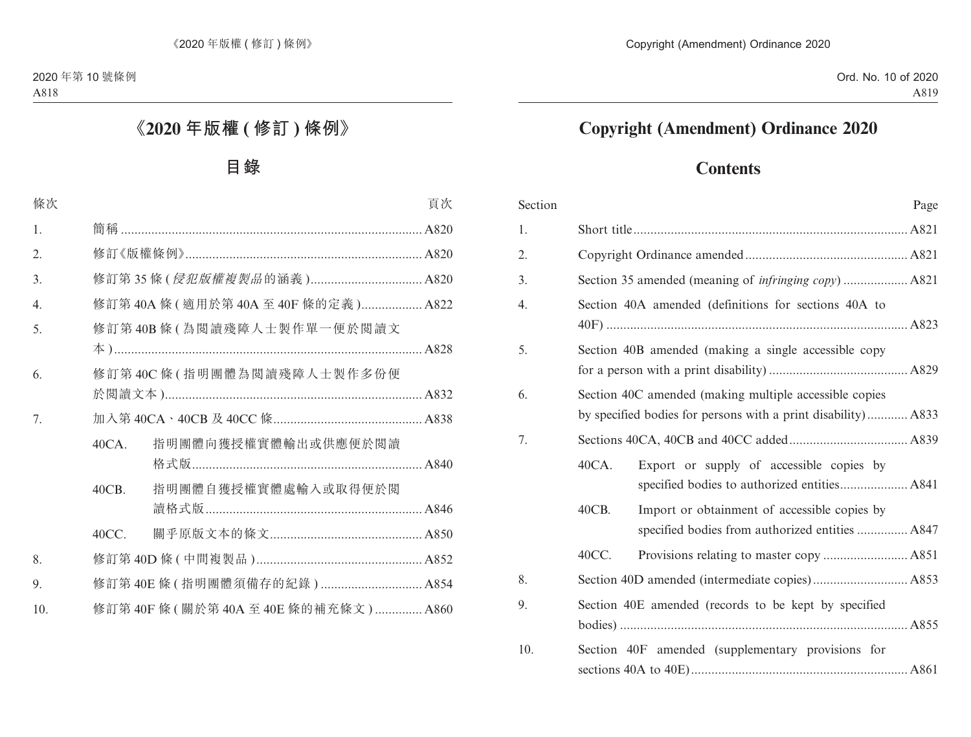# **Copyright (Amendment) Ordinance 2020**

# **Contents**

| Section |                                                                                                                         | Page |
|---------|-------------------------------------------------------------------------------------------------------------------------|------|
| 1.      |                                                                                                                         |      |
| 2.      |                                                                                                                         |      |
| 3.      |                                                                                                                         |      |
| 4.      | Section 40A amended (definitions for sections 40A to                                                                    |      |
| 5.      | Section 40B amended (making a single accessible copy                                                                    |      |
| 6.      | Section 40C amended (making multiple accessible copies<br>by specified bodies for persons with a print disability) A833 |      |
| 7.      |                                                                                                                         |      |
|         | 40CA.<br>Export or supply of accessible copies by                                                                       |      |
|         | 40CB.<br>Import or obtainment of accessible copies by<br>specified bodies from authorized entities  A847                |      |
|         | 40CC.                                                                                                                   |      |
| 8.      |                                                                                                                         |      |
| 9.      | Section 40E amended (records to be kept by specified                                                                    |      |
| 10.     | Section 40F amended (supplementary provisions for                                                                       |      |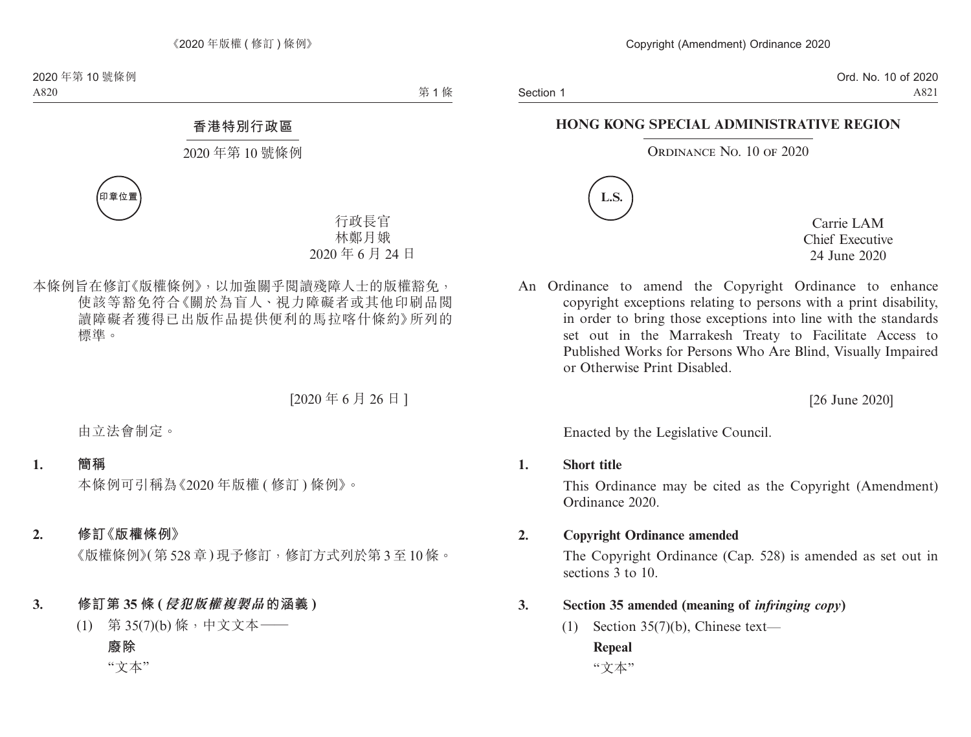Section 1

Ord. No. 10 of 2020 A821

#### **HONG KONG SPECIAL ADMINISTRATIVE REGION**

#### ORDINANCE NO. 10 OF 2020



Carrie LAM Chief Executive 24 June 2020

An Ordinance to amend the Copyright Ordinance to enhance copyright exceptions relating to persons with a print disability, in order to bring those exceptions into line with the standards set out in the Marrakesh Treaty to Facilitate Access to Published Works for Persons Who Are Blind, Visually Impaired or Otherwise Print Disabled.

[26 June 2020]

Enacted by the Legislative Council.

#### **1. Short title**

This Ordinance may be cited as the Copyright (Amendment) Ordinance 2020.

#### **2. Copyright Ordinance amended**

The Copyright Ordinance (Cap. 528) is amended as set out in sections 3 to 10.

- **3. Section 35 amended (meaning of** *infringing copy***)**
	- (1) Section  $35(7)(b)$ , Chinese text— **Repeal**

"文本"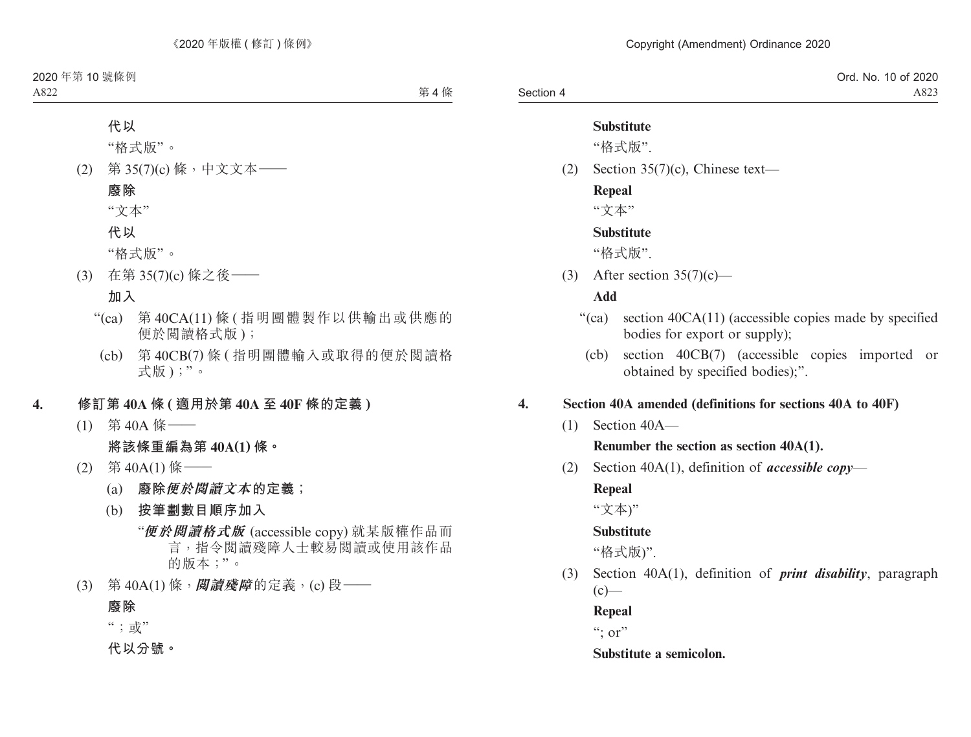|           | . 10 of 2020<br>Ord. No. |
|-----------|--------------------------|
| Section 4 | A823                     |

#### **Substitute**

"格式版".

(2) Section 35(7)(c), Chinese text—

#### **Repeal**

"文本"

## **Substitute**

"格式版".

(3) After section  $35(7)(c)$ —

#### **Add**

- "(ca) section 40CA(11) (accessible copies made by specified bodies for export or supply);
	- (cb) section 40CB(7) (accessible copies imported or obtained by specified bodies);".

## **4. Section 40A amended (definitions for sections 40A to 40F)**

(1) Section 40A—

#### **Renumber the section as section 40A(1).**

(2) Section 40A(1), definition of *accessible copy*—

## **Repeal**

"文本)"

## **Substitute**

"格式版)".

(3) Section 40A(1), definition of *print disability*, paragraph  $(c)$ —

## **Repeal**

 $\lq\lq$  : or"

#### **Substitute a semicolon.**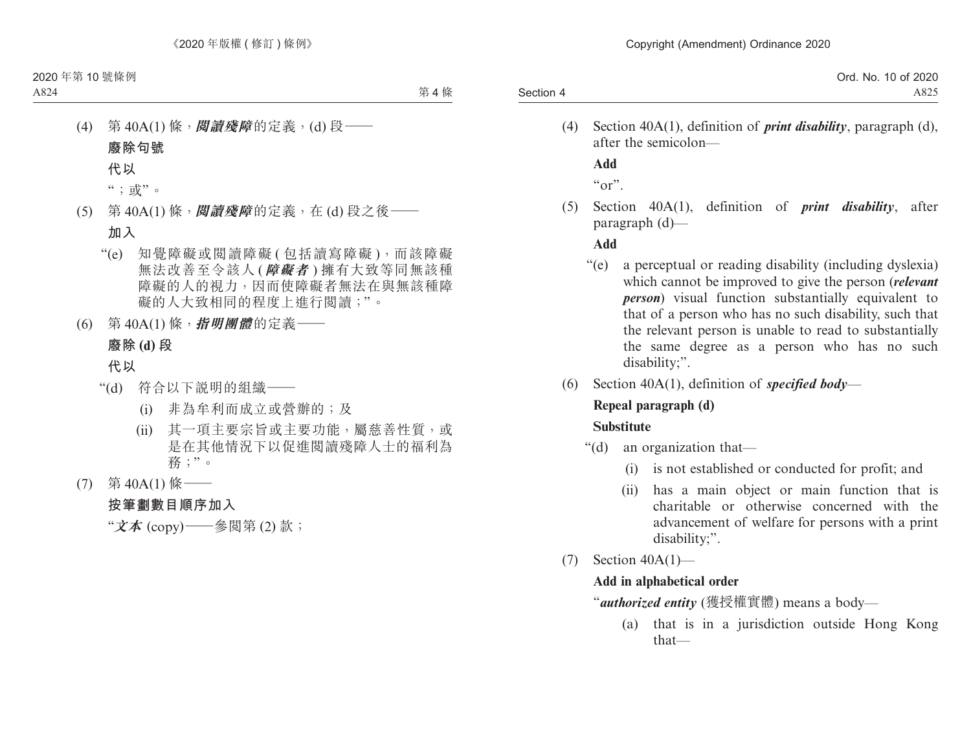|           | Ord. No. 10 of 2020 |
|-----------|---------------------|
| Section 4 | A825                |

(4) Section 40A(1), definition of *print disability*, paragraph (d), after the semicolon—

**Add**

 $\alpha$ "

(5) Section 40A(1), definition of *print disability*, after paragraph (d)—

## **Add**

- "(e) a perceptual or reading disability (including dyslexia) which cannot be improved to give the person (*relevant person*) visual function substantially equivalent to that of a person who has no such disability, such that the relevant person is unable to read to substantially the same degree as a person who has no such disability;".
- (6) Section 40A(1), definition of *specified body*—

# **Repeal paragraph (d)**

## **Substitute**

- "(d) an organization that—
	- (i) is not established or conducted for profit; and
	- (ii) has a main object or main function that is charitable or otherwise concerned with the advancement of welfare for persons with a print disability;".
- (7) Section 40A(1)—

## **Add in alphabetical order**

"*authorized entity* (獲授權實體) means a body—

(a) that is in a jurisdiction outside Hong Kong that—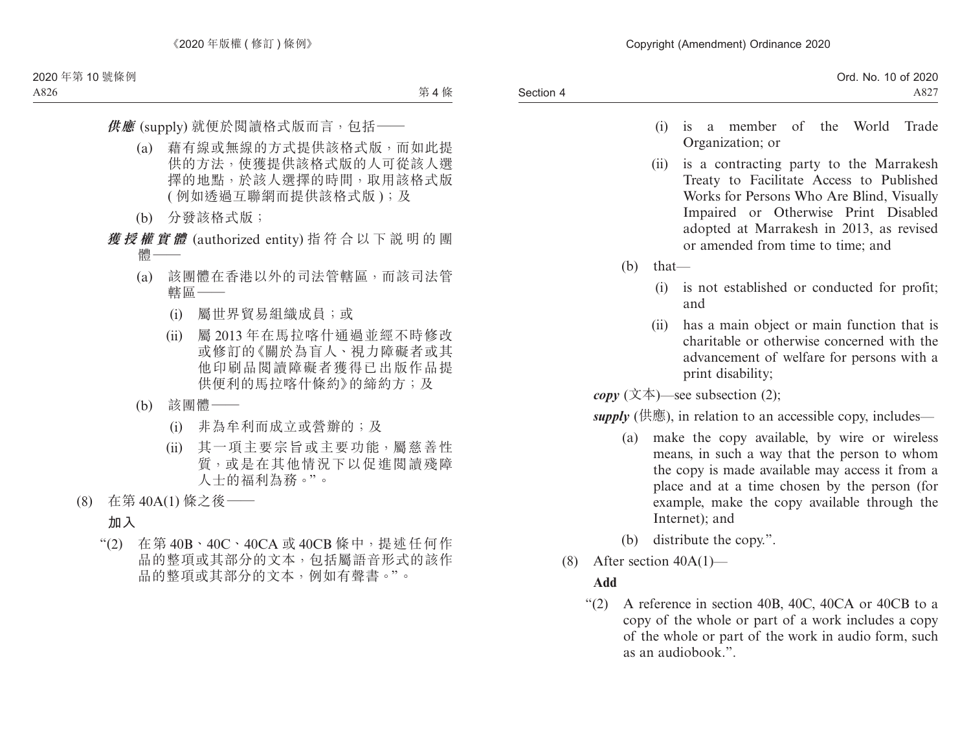- (i) is a member of the World Trade Organization; or
- (ii) is a contracting party to the Marrakesh Treaty to Facilitate Access to Published Works for Persons Who Are Blind, Visually Impaired or Otherwise Print Disabled adopted at Marrakesh in 2013, as revised or amended from time to time; and
- (b) that—
	- (i) is not established or conducted for profit; and
	- (ii) has a main object or main function that is charitable or otherwise concerned with the advancement of welfare for persons with a print disability;

 $\textit{copy}$  (文本)—see subsection (2);

*supply* (供應), in relation to an accessible copy, includes—

- (a) make the copy available, by wire or wireless means, in such a way that the person to whom the copy is made available may access it from a place and at a time chosen by the person (for example, make the copy available through the Internet); and
- (b) distribute the copy.".
- (8) After section  $40A(1)$ —

## **Add**

"(2) A reference in section 40B, 40C, 40CA or 40CB to a copy of the whole or part of a work includes a copy of the whole or part of the work in audio form, such as an audiobook.".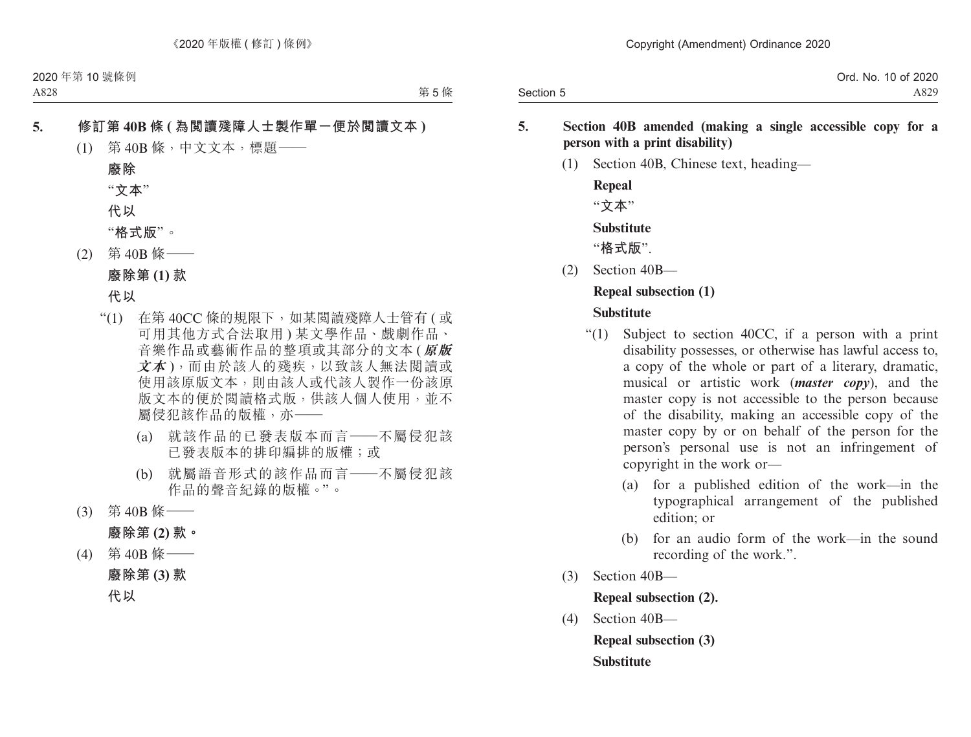|           | Ord. No. 10 of 2020 |
|-----------|---------------------|
| Section 5 | A829                |

#### **5. Section 40B amended (making a single accessible copy for a person with a print disability)**

(1) Section 40B, Chinese text, heading—

**Repeal** "**文本**" **Substitute** "**格式版**".

(2) Section 40B—

#### **Repeal subsection (1)**

#### **Substitute**

- "(1) Subject to section 40CC, if a person with a print disability possesses, or otherwise has lawful access to, a copy of the whole or part of a literary, dramatic, musical or artistic work (*master copy*), and the master copy is not accessible to the person because of the disability, making an accessible copy of the master copy by or on behalf of the person for the person's personal use is not an infringement of copyright in the work or—
	- (a) for a published edition of the work—in the typographical arrangement of the published edition; or
	- (b) for an audio form of the work—in the sound recording of the work.".
- (3) Section 40B—

**Repeal subsection (2).**

(4) Section 40B—

**Repeal subsection (3) Substitute**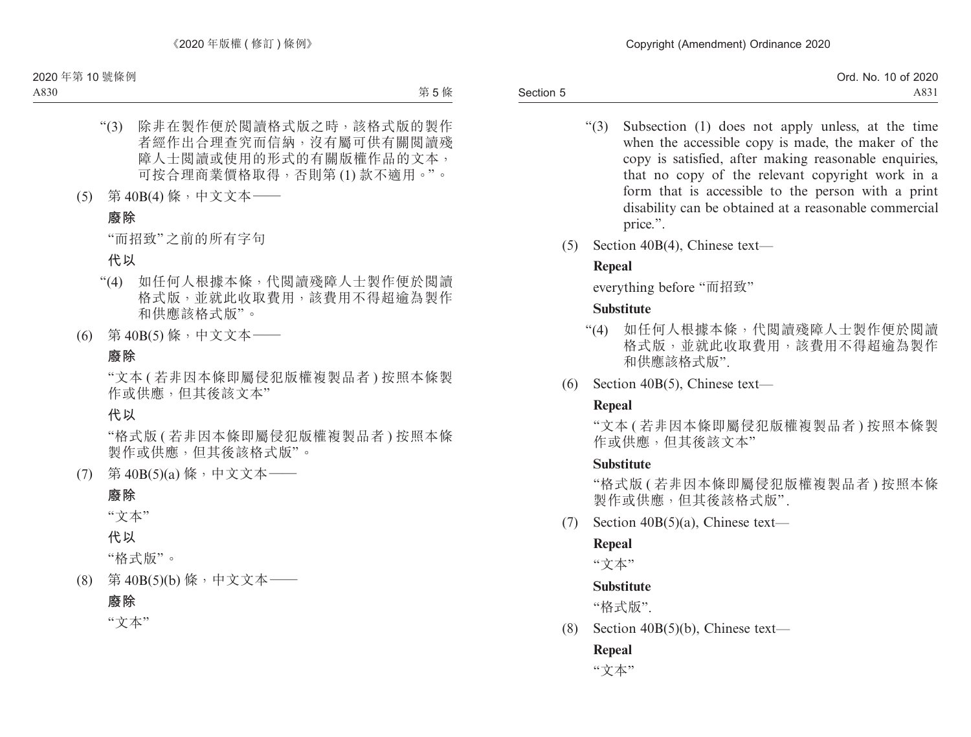Section 5 Ord. No. 10 of 2020 A831

- "(3) Subsection (1) does not apply unless, at the time when the accessible copy is made, the maker of the copy is satisfied, after making reasonable enquiries, that no copy of the relevant copyright work in a form that is accessible to the person with a print disability can be obtained at a reasonable commercial price.".
- (5) Section 40B(4), Chinese text—

## **Repeal**

everything before "而招致"

## **Substitute**

- "(4) 如任何人根據本條,代閱讀殘障人士製作便於閱讀 格式版,並就此收取費用,該費用不得超逾為製作 和供應該格式版".
- (6) Section 40B(5), Chinese text—

## **Repeal**

"文本 ( 若非因本條即屬侵犯版權複製品者 ) 按照本條製 作或供應, 但其後該文本"

## **Substitute**

"格式版 ( 若非因本條即屬侵犯版權複製品者 ) 按照本條 製作或供應,但其後該格式版" .

(7) Section  $40B(5)(a)$ , Chinese text—

## **Repeal**

"文本"

## **Substitute**

"格式版".

(8) Section 40B(5)(b), Chinese text—

# **Repeal**

"文本"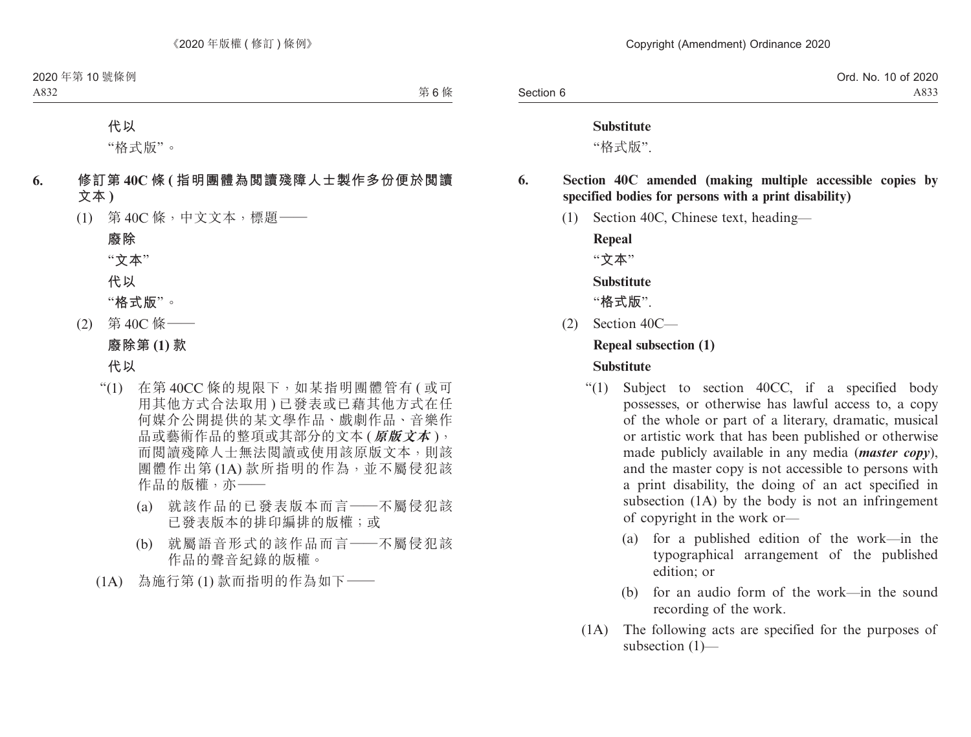#### **Substitute**

"格式版".

**6. Section 40C amended (making multiple accessible copies by specified bodies for persons with a print disability)**

(1) Section 40C, Chinese text, heading—

**Repeal**

"**文本**"

**Substitute**

"**格式版**".

(2) Section 40C—

#### **Repeal subsection (1)**

#### **Substitute**

- "(1) Subject to section 40CC, if a specified body possesses, or otherwise has lawful access to, a copy of the whole or part of a literary, dramatic, musical or artistic work that has been published or otherwise made publicly available in any media (*master copy*), and the master copy is not accessible to persons with a print disability, the doing of an act specified in subsection (1A) by the body is not an infringement of copyright in the work or—
	- (a) for a published edition of the work—in the typographical arrangement of the published edition; or
	- (b) for an audio form of the work—in the sound recording of the work.
- (1A) The following acts are specified for the purposes of subsection (1)—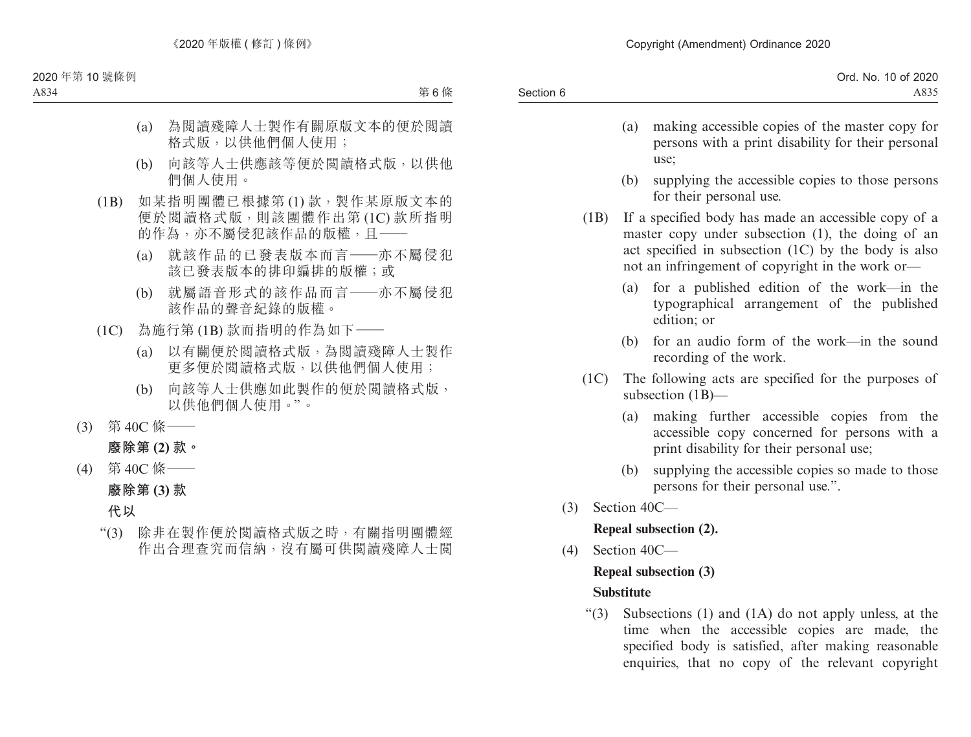|           | Ord. No. 10 of 2020 |
|-----------|---------------------|
| Section 6 | A835                |

- (a) making accessible copies of the master copy for persons with a print disability for their personal use;
- (b) supplying the accessible copies to those persons for their personal use.
- (1B) If a specified body has made an accessible copy of a master copy under subsection (1), the doing of an act specified in subsection (1C) by the body is also not an infringement of copyright in the work or—
	- (a) for a published edition of the work—in the typographical arrangement of the published edition; or
	- (b) for an audio form of the work—in the sound recording of the work.
- (1C) The following acts are specified for the purposes of subsection (1B)—
	- (a) making further accessible copies from the accessible copy concerned for persons with a print disability for their personal use;
	- (b) supplying the accessible copies so made to those persons for their personal use.".
- (3) Section 40C—

**Repeal subsection (2).**

(4) Section 40C—

## **Repeal subsection (3)**

## **Substitute**

"(3) Subsections (1) and (1A) do not apply unless, at the time when the accessible copies are made, the specified body is satisfied, after making reasonable enquiries, that no copy of the relevant copyright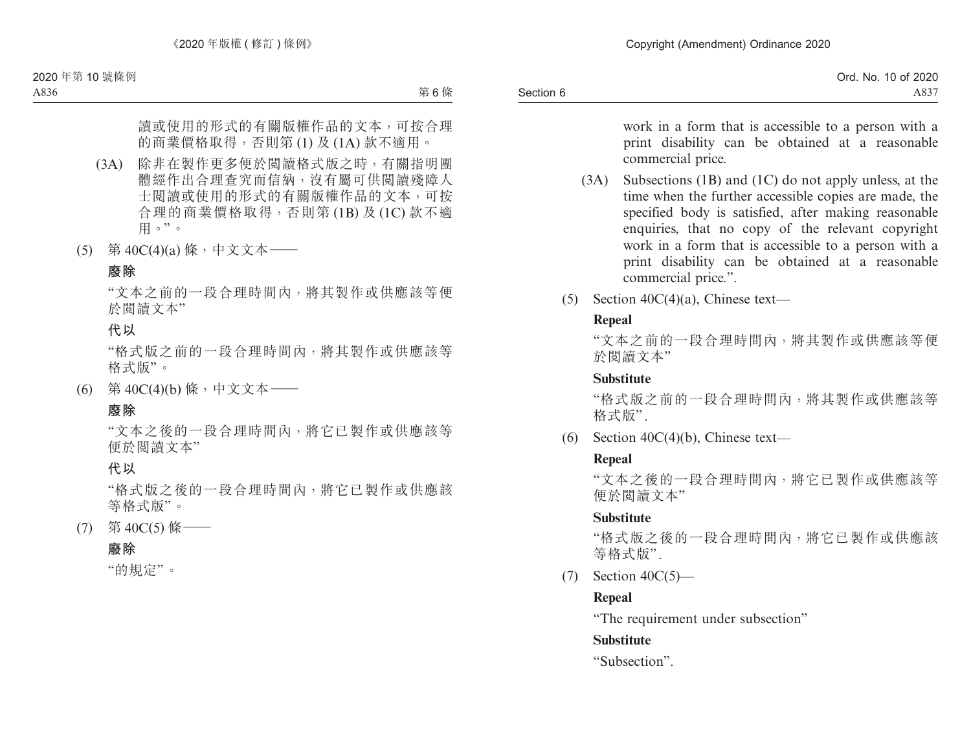|           | Ord. No.<br>10 of 2020 |
|-----------|------------------------|
| Section 6 | $A83-$                 |

work in a form that is accessible to a person with a print disability can be obtained at a reasonable commercial price.

- (3A) Subsections (1B) and (1C) do not apply unless, at the time when the further accessible copies are made, the specified body is satisfied, after making reasonable enquiries, that no copy of the relevant copyright work in a form that is accessible to a person with a print disability can be obtained at a reasonable commercial price.".
- (5) Section 40C(4)(a), Chinese text—

## **Repeal**

"文本之前的一段合理時間內,將其製作或供應該等便 於閱讀文本"

#### **Substitute**

"格式版之前的一段合理時間內,將其製作或供應該等 格式版".

(6) Section  $40C(4)(b)$ , Chinese text—

## **Repeal**

"文本之後的一段合理時間內,將它已製作或供應該等 便於閱讀文本"

## **Substitute**

"格式版之後的一段合理時間內,將它已製作或供應該 等格式版".

 $(7)$  Section  $40C(5)$ —

## **Repeal**

"The requirement under subsection"

## **Substitute**

"Subsection".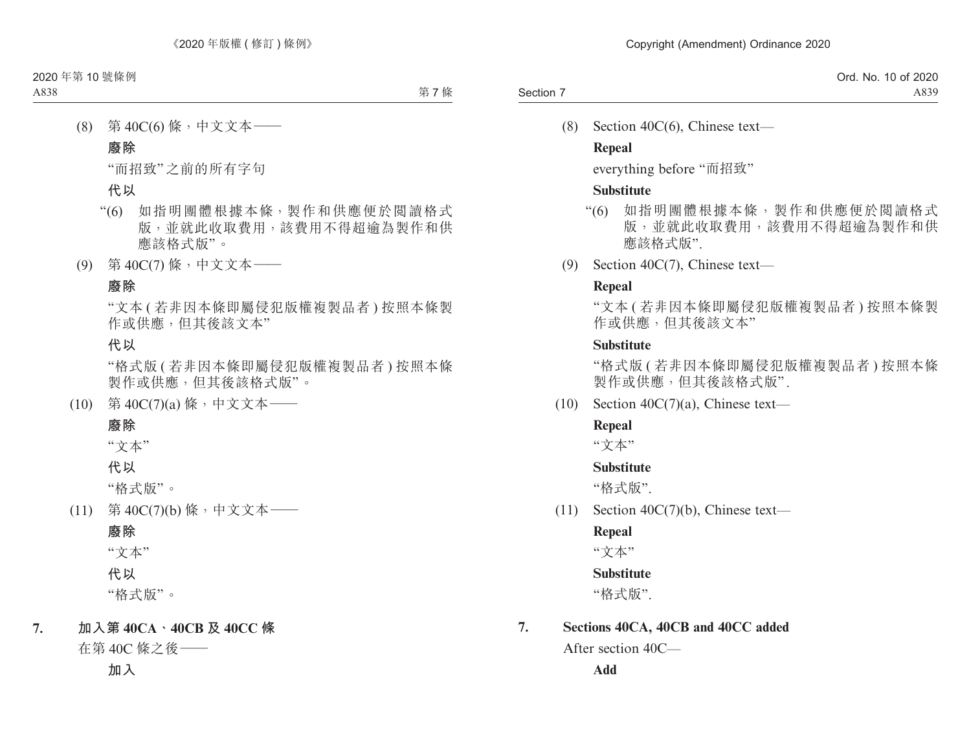(8) Section 40C(6), Chinese text—

#### **Repeal**

everything before "而招致"

#### **Substitute**

- "(6) 如指明團體根據本條,製作和供應便於閱讀格式 版,並就此收取費用,該費用不得超逾為製作和供 應該格式版".
- (9) Section 40C(7), Chinese text—

## **Repeal**

"文本 ( 若非因本條即屬侵犯版權複製品者 ) 按照本條製 作或供應,但其後該文本"

## **Substitute**

"格式版 ( 若非因本條即屬侵犯版權複製品者 ) 按照本條 製作或供應,但其後該格式版".

(10) Section 40C(7)(a), Chinese text—

## **Repeal**

"文本"

## **Substitute**

"格式版".

(11) Section 40C(7)(b), Chinese text—

## **Repeal**

"文本"

## **Substitute**

"格式版".

## **7. Sections 40CA, 40CB and 40CC added**

After section 40C—

**Add**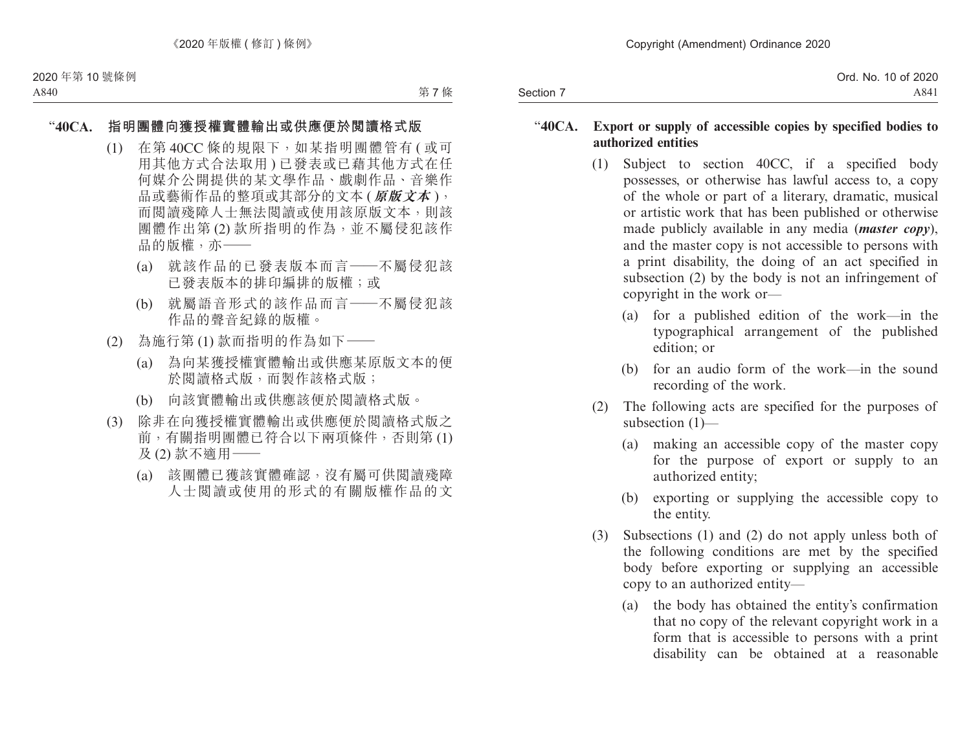|           | Ord. No. 10 of 2020 |
|-----------|---------------------|
| Section 7 | A84 <sub>1</sub>    |

#### "**40CA. Export or supply of accessible copies by specified bodies to authorized entities**

- (1) Subject to section 40CC, if a specified body possesses, or otherwise has lawful access to, a copy of the whole or part of a literary, dramatic, musical or artistic work that has been published or otherwise made publicly available in any media (*master copy*), and the master copy is not accessible to persons with a print disability, the doing of an act specified in subsection (2) by the body is not an infringement of copyright in the work or—
	- (a) for a published edition of the work—in the typographical arrangement of the published edition; or
	- (b) for an audio form of the work—in the sound recording of the work.
- (2) The following acts are specified for the purposes of subsection (1)—
	- (a) making an accessible copy of the master copy for the purpose of export or supply to an authorized entity;
	- (b) exporting or supplying the accessible copy to the entity.
- (3) Subsections (1) and (2) do not apply unless both of the following conditions are met by the specified body before exporting or supplying an accessible copy to an authorized entity—
	- (a) the body has obtained the entity's confirmation that no copy of the relevant copyright work in a form that is accessible to persons with a print disability can be obtained at a reasonable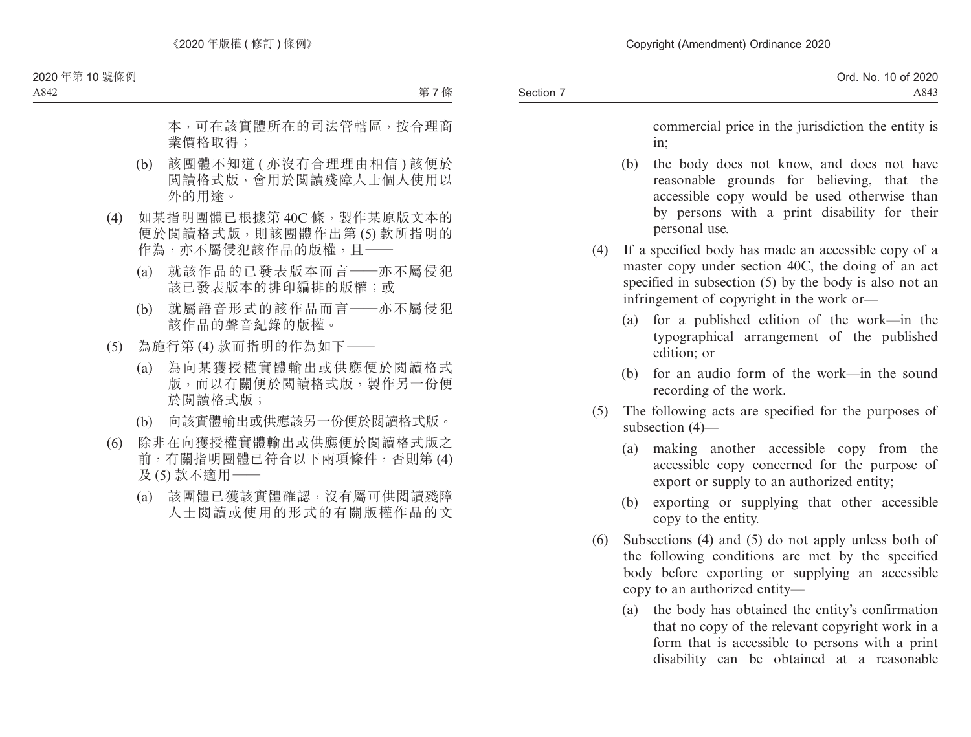commercial price in the jurisdiction the entity is in;

- (b) the body does not know, and does not have reasonable grounds for believing, that the accessible copy would be used otherwise than by persons with a print disability for their personal use.
- (4) If a specified body has made an accessible copy of a master copy under section 40C, the doing of an act specified in subsection (5) by the body is also not an infringement of copyright in the work or—
	- (a) for a published edition of the work—in the typographical arrangement of the published edition; or
	- (b) for an audio form of the work—in the sound recording of the work.
- (5) The following acts are specified for the purposes of subsection (4)—
	- (a) making another accessible copy from the accessible copy concerned for the purpose of export or supply to an authorized entity;
	- (b) exporting or supplying that other accessible copy to the entity.
- (6) Subsections (4) and (5) do not apply unless both of the following conditions are met by the specified body before exporting or supplying an accessible copy to an authorized entity—
	- (a) the body has obtained the entity's confirmation that no copy of the relevant copyright work in a form that is accessible to persons with a print disability can be obtained at a reasonable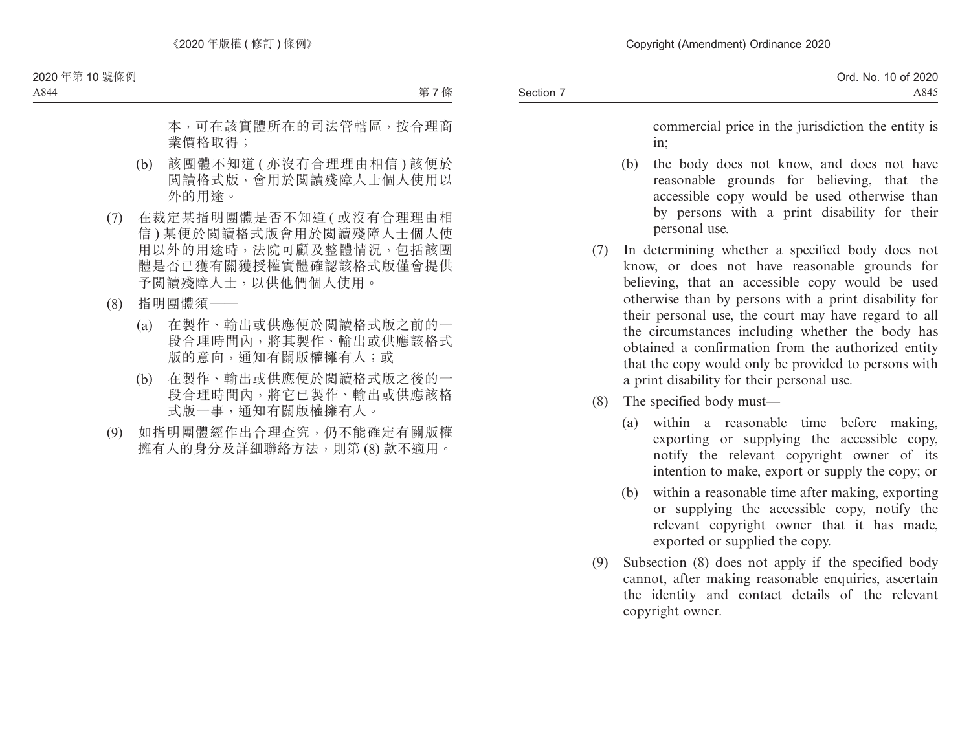commercial price in the jurisdiction the entity is in;

- (b) the body does not know, and does not have reasonable grounds for believing, that the accessible copy would be used otherwise than by persons with a print disability for their personal use.
- (7) In determining whether a specified body does not know, or does not have reasonable grounds for believing, that an accessible copy would be used otherwise than by persons with a print disability for their personal use, the court may have regard to all the circumstances including whether the body has obtained a confirmation from the authorized entity that the copy would only be provided to persons with a print disability for their personal use.
- (8) The specified body must—
	- (a) within a reasonable time before making, exporting or supplying the accessible copy, notify the relevant copyright owner of its intention to make, export or supply the copy; or
	- (b) within a reasonable time after making, exporting or supplying the accessible copy, notify the relevant copyright owner that it has made, exported or supplied the copy.
- (9) Subsection (8) does not apply if the specified body cannot, after making reasonable enquiries, ascertain the identity and contact details of the relevant copyright owner.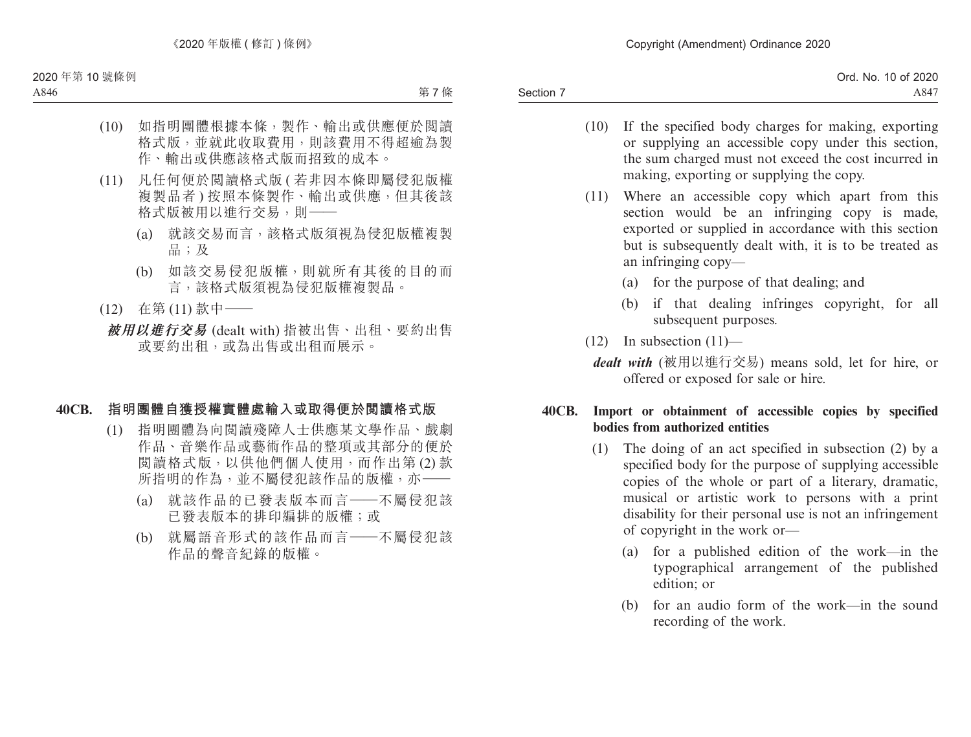Section 7 Ord. No. 10 of 2020 A847

- (10) If the specified body charges for making, exporting or supplying an accessible copy under this section, the sum charged must not exceed the cost incurred in making, exporting or supplying the copy.
- (11) Where an accessible copy which apart from this section would be an infringing copy is made, exported or supplied in accordance with this section but is subsequently dealt with, it is to be treated as an infringing copy—
	- (a) for the purpose of that dealing; and
	- (b) if that dealing infringes copyright, for all subsequent purposes.
- $(12)$  In subsection  $(11)$ 
	- *dealt with* (被用以進行交易) means sold, let for hire, or offered or exposed for sale or hire.

## **40CB. Import or obtainment of accessible copies by specified bodies from authorized entities**

- (1) The doing of an act specified in subsection (2) by a specified body for the purpose of supplying accessible copies of the whole or part of a literary, dramatic, musical or artistic work to persons with a print disability for their personal use is not an infringement of copyright in the work or—
	- (a) for a published edition of the work—in the typographical arrangement of the published edition; or
	- (b) for an audio form of the work—in the sound recording of the work.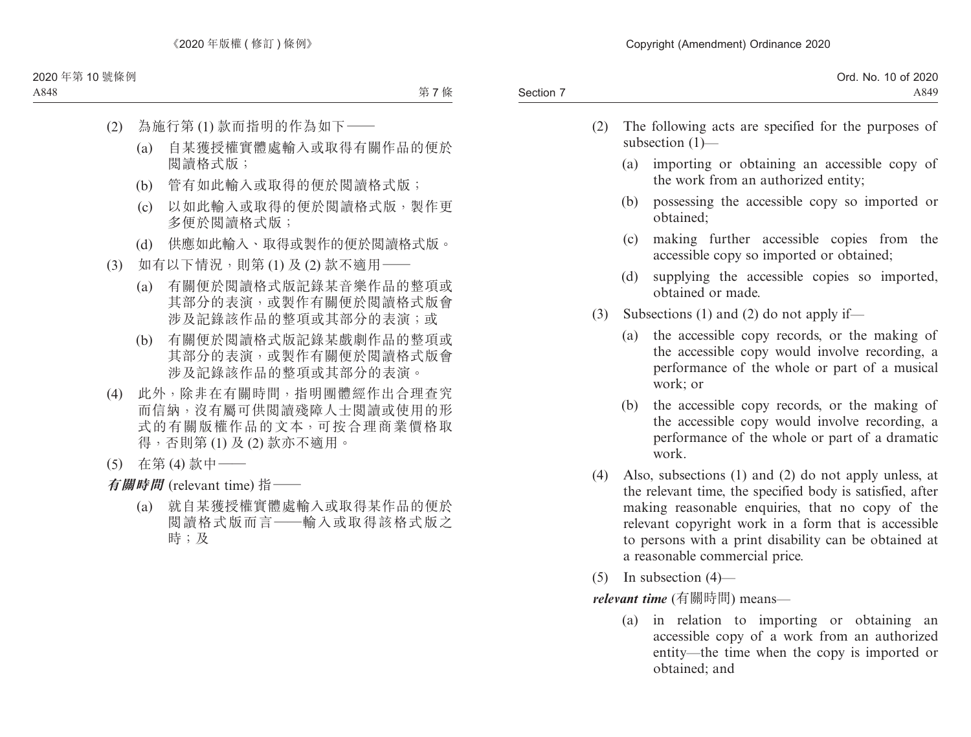| Ord. No. 10 of 2020 |
|---------------------|
| A849                |
|                     |

- (2) The following acts are specified for the purposes of subsection (1)—
	- (a) importing or obtaining an accessible copy of the work from an authorized entity;
	- (b) possessing the accessible copy so imported or obtained;
	- (c) making further accessible copies from the accessible copy so imported or obtained;
	- (d) supplying the accessible copies so imported, obtained or made.
- (3) Subsections (1) and (2) do not apply if—
	- (a) the accessible copy records, or the making of the accessible copy would involve recording, a performance of the whole or part of a musical work; or
	- (b) the accessible copy records, or the making of the accessible copy would involve recording, a performance of the whole or part of a dramatic work.
- (4) Also, subsections (1) and (2) do not apply unless, at the relevant time, the specified body is satisfied, after making reasonable enquiries, that no copy of the relevant copyright work in a form that is accessible to persons with a print disability can be obtained at a reasonable commercial price.
- $(5)$  In subsection  $(4)$ —

*relevant time* (有關時間) means—

(a) in relation to importing or obtaining an accessible copy of a work from an authorized entity—the time when the copy is imported or obtained; and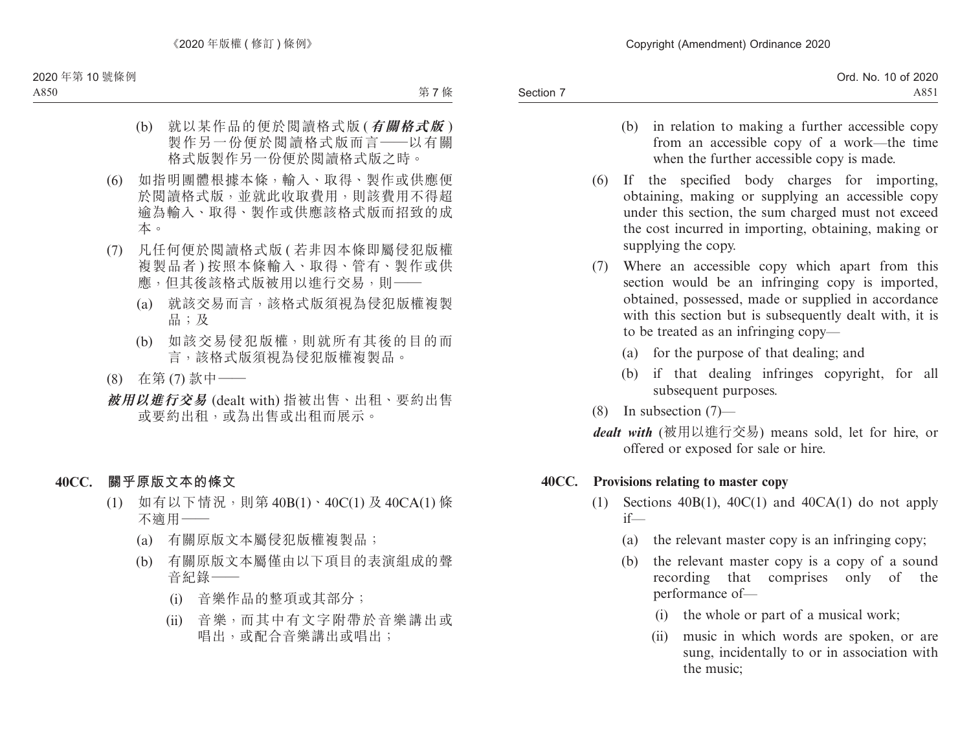- (b) in relation to making a further accessible copy from an accessible copy of a work—the time when the further accessible copy is made.
- (6) If the specified body charges for importing, obtaining, making or supplying an accessible copy under this section, the sum charged must not exceed the cost incurred in importing, obtaining, making or supplying the copy.
- (7) Where an accessible copy which apart from this section would be an infringing copy is imported, obtained, possessed, made or supplied in accordance with this section but is subsequently dealt with, it is to be treated as an infringing copy—
	- (a) for the purpose of that dealing; and
	- (b) if that dealing infringes copyright, for all subsequent purposes.
- (8) In subsection (7)—
- *dealt with* (被用以進行交易) means sold, let for hire, or offered or exposed for sale or hire.

## **40CC. Provisions relating to master copy**

- (1) Sections  $40B(1)$ ,  $40C(1)$  and  $40CA(1)$  do not apply if—
	- (a) the relevant master copy is an infringing copy;
	- (b) the relevant master copy is a copy of a sound recording that comprises only of the performance of—
		- (i) the whole or part of a musical work;
		- (ii) music in which words are spoken, or are sung, incidentally to or in association with the music;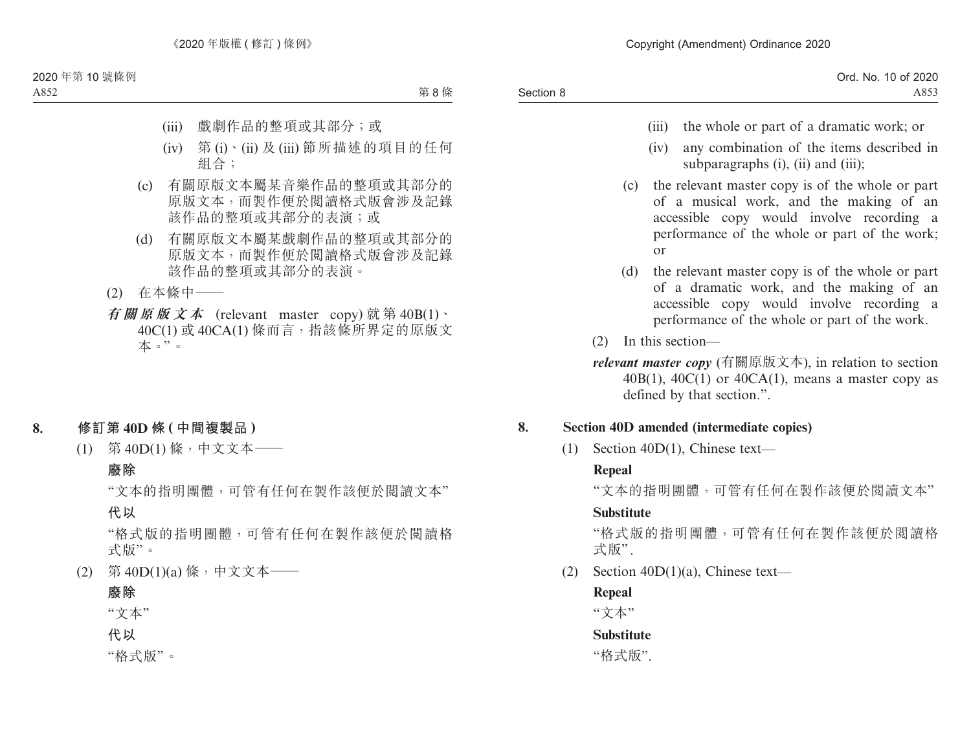|           | Ord. No. 10 of 2020 |
|-----------|---------------------|
| Section 8 | A853                |

- (iii) the whole or part of a dramatic work; or
- (iv) any combination of the items described in subparagraphs (i), (ii) and (iii);
- (c) the relevant master copy is of the whole or part of a musical work, and the making of an accessible copy would involve recording a performance of the whole or part of the work; or
- (d) the relevant master copy is of the whole or part of a dramatic work, and the making of an accessible copy would involve recording a performance of the whole or part of the work.
- (2) In this section—
- *relevant master copy* (有關原版文本), in relation to section  $40B(1)$ ,  $40C(1)$  or  $40CA(1)$ , means a master copy as defined by that section.".

## **8. Section 40D amended (intermediate copies)**

(1) Section 40D(1), Chinese text—

## **Repeal**

"文本的指明團體,可管有任何在製作該便於閱讀文本"

## **Substitute**

"格式版的指明團體,可管有任何在製作該便於閱讀格 式版" .

(2) Section 40D(1)(a), Chinese text—

## **Repeal**

"文本"

# **Substitute**

"格式版".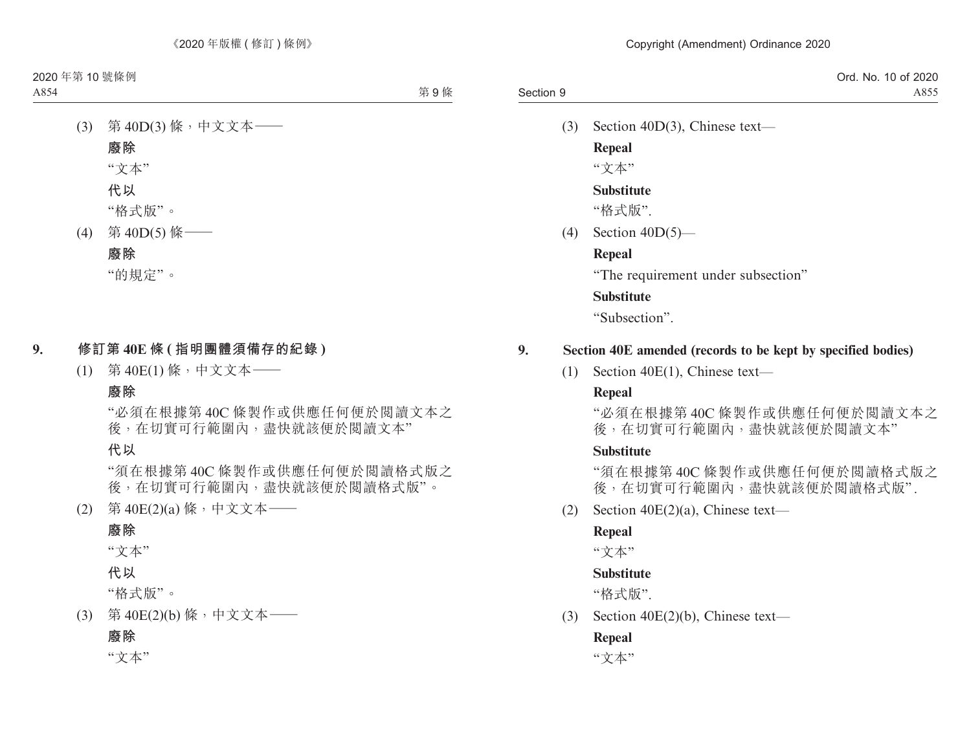|           | Ord. No. 10 of 2020 |
|-----------|---------------------|
| Section 9 | A855                |

(3) Section 40D(3), Chinese text—

**Repeal** "文本"

#### **Substitute**

"格式版".

 $(4)$  Section  $40D(5)$ —

#### **Repeal**

"The requirement under subsection"

#### **Substitute**

"Subsection".

#### **9. Section 40E amended (records to be kept by specified bodies)**

(1) Section 40E(1), Chinese text—

#### **Repeal**

"必須在根據第 40C 條製作或供應任何便於閱讀文本之 後,在切實可行範圍內,盡快就該便於閱讀文本"

#### **Substitute**

"須在根據第 40C 條製作或供應任何便於閱讀格式版之 後,在切實可行範圍內,盡快就該便於閱讀格式版".

(2) Section 40E(2)(a), Chinese text—

#### **Repeal**

"文本"

#### **Substitute**

"格式版".

(3) Section 40E(2)(b), Chinese text—

#### **Repeal**

"文本"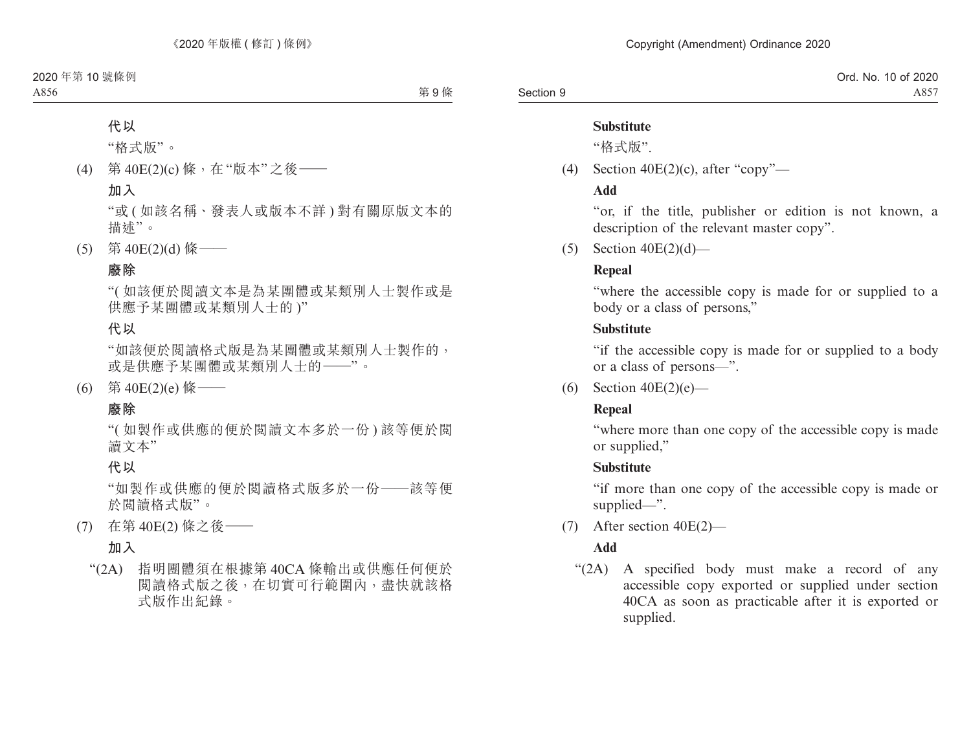#### **Substitute**

"格式版".

(4) Section  $40E(2)(c)$ , after "copy"—

#### **Add**

"or, if the title, publisher or edition is not known, a description of the relevant master copy".

 $(5)$  Section  $40E(2)(d)$ —

## **Repeal**

"where the accessible copy is made for or supplied to a body or a class of persons,"

## **Substitute**

"if the accessible copy is made for or supplied to a body or a class of persons—".

(6) Section  $40E(2)(e)$ —

## **Repeal**

"where more than one copy of the accessible copy is made or supplied,"

## **Substitute**

"if more than one copy of the accessible copy is made or supplied—".

(7) After section 40E(2)—

# **Add**

"(2A) A specified body must make a record of any accessible copy exported or supplied under section 40CA as soon as practicable after it is exported or supplied.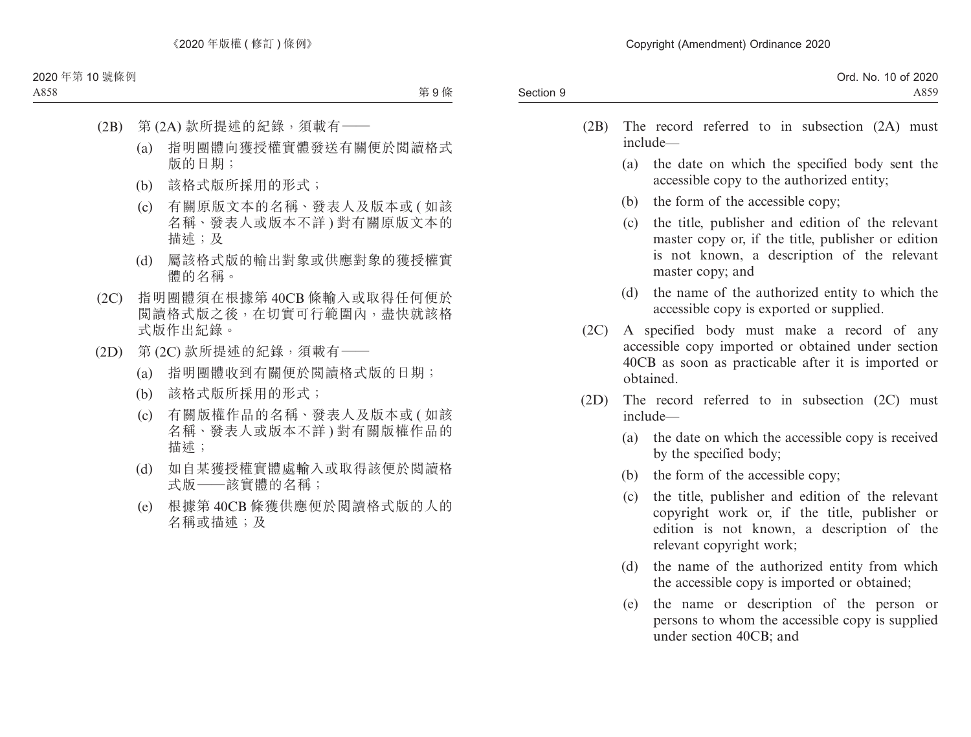| Ord. No. 10 of 2020 |
|---------------------|
| A859                |
|                     |

- (2B) The record referred to in subsection (2A) must include—
	- (a) the date on which the specified body sent the accessible copy to the authorized entity;
	- (b) the form of the accessible copy;
	- (c) the title, publisher and edition of the relevant master copy or, if the title, publisher or edition is not known, a description of the relevant master copy; and
	- (d) the name of the authorized entity to which the accessible copy is exported or supplied.
- (2C) A specified body must make a record of any accessible copy imported or obtained under section 40CB as soon as practicable after it is imported or obtained.
- (2D) The record referred to in subsection (2C) must include—
	- (a) the date on which the accessible copy is received by the specified body;
	- (b) the form of the accessible copy;
	- (c) the title, publisher and edition of the relevant copyright work or, if the title, publisher or edition is not known, a description of the relevant copyright work;
	- (d) the name of the authorized entity from which the accessible copy is imported or obtained;
	- (e) the name or description of the person or persons to whom the accessible copy is supplied under section 40CB; and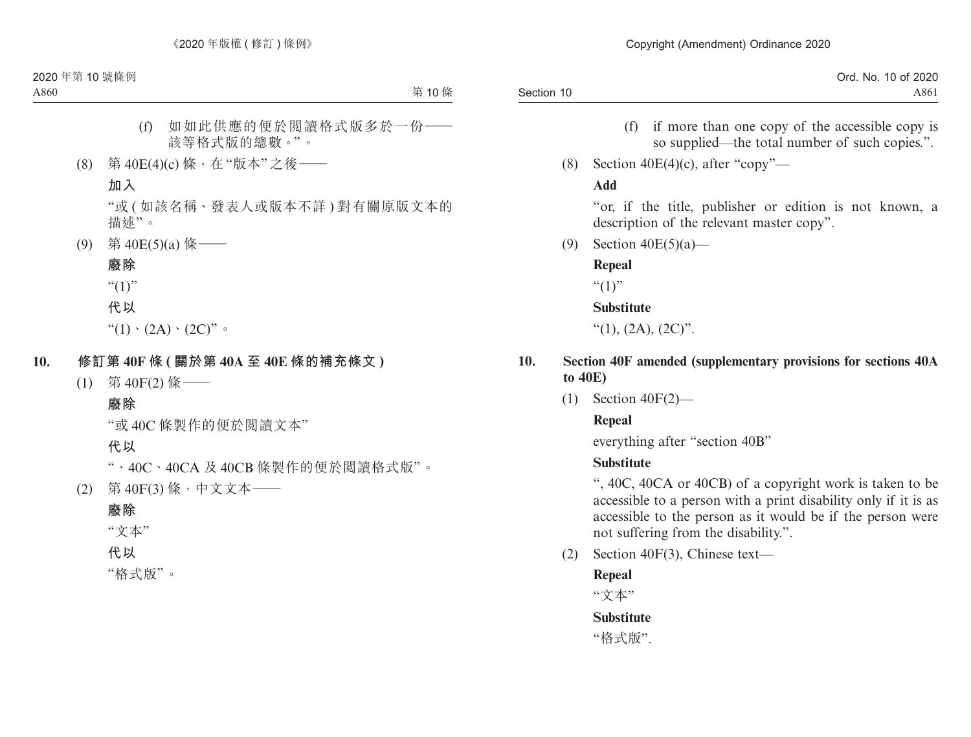- (f) if more than one copy of the accessible copy is so supplied—the total number of such copies.".
- (8) Section  $40E(4)(c)$ , after "copy"—

#### **Add**

"or, if the title, publisher or edition is not known, a description of the relevant master copy".

(9) Section 40E(5)(a)—

#### **Repeal**

 $``(1)"$ 

#### **Substitute**

"(1),  $(2A)$ ,  $(2C)$ ".

- **10. Section 40F amended (supplementary provisions for sections 40A to 40E)**
	- (1) Section 40F(2)—

## **Repeal**

everything after "section 40B"

## **Substitute**

", 40C, 40CA or 40CB) of a copyright work is taken to be accessible to a person with a print disability only if it is as accessible to the person as it would be if the person were not suffering from the disability.".

(2) Section 40F(3), Chinese text—

## **Repeal**

"文本"

## **Substitute**

"格式版".